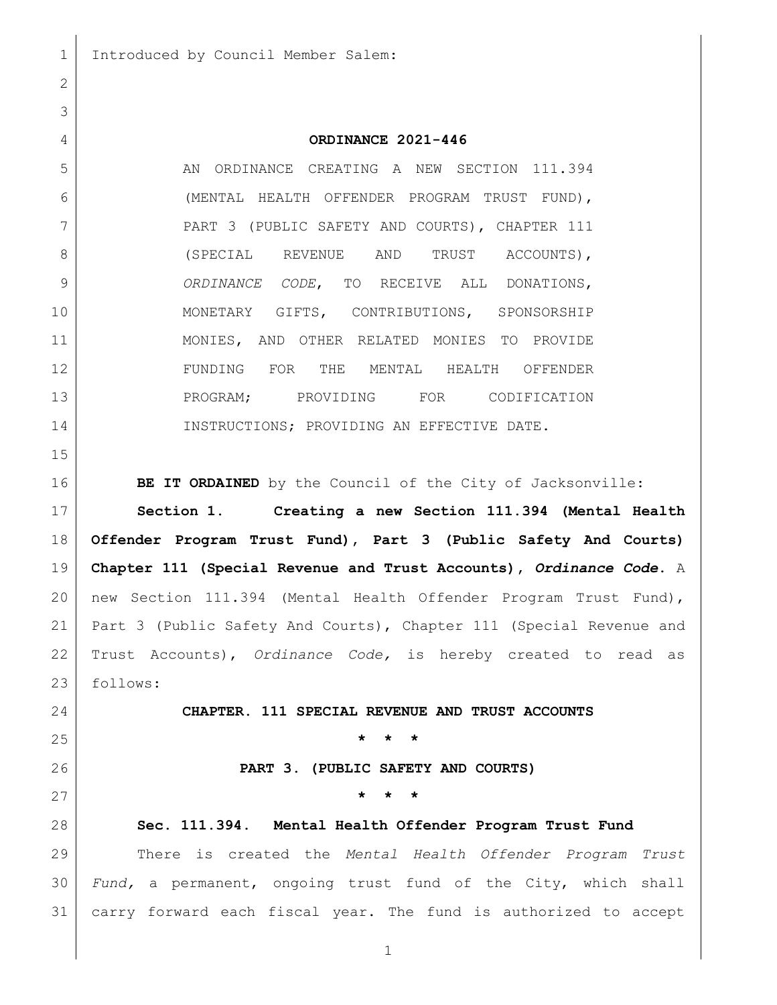## **ORDINANCE 2021-446**

5 AN ORDINANCE CREATING A NEW SECTION 111.394 (MENTAL HEALTH OFFENDER PROGRAM TRUST FUND), 7 PART 3 (PUBLIC SAFETY AND COURTS), CHAPTER 111 8 (SPECIAL REVENUE AND TRUST ACCOUNTS), *ORDINANCE CODE*, TO RECEIVE ALL DONATIONS, MONETARY GIFTS, CONTRIBUTIONS, SPONSORSHIP MONIES, AND OTHER RELATED MONIES TO PROVIDE FUNDING FOR THE MENTAL HEALTH OFFENDER 13 REPORTS PROGRAM; PROVIDING FOR CODIFICATION 14 INSTRUCTIONS; PROVIDING AN EFFECTIVE DATE. **BE IT ORDAINED** by the Council of the City of Jacksonville: **Section 1. Creating a new Section 111.394 (Mental Health Offender Program Trust Fund), Part 3 (Public Safety And Courts) Chapter 111 (Special Revenue and Trust Accounts),** *Ordinance Code***.** A new Section 111.394 (Mental Health Offender Program Trust Fund), Part 3 (Public Safety And Courts), Chapter 111 (Special Revenue and Trust Accounts), *Ordinance Code,* is hereby created to read as follows: **CHAPTER. 111 SPECIAL REVENUE AND TRUST ACCOUNTS \* \* \* PART 3. (PUBLIC SAFETY AND COURTS) \* \* \* Sec. 111.394. Mental Health Offender Program Trust Fund** There is created the *Mental Health Offender Program Trust Fund,* a permanent, ongoing trust fund of the City, which shall

carry forward each fiscal year. The fund is authorized to accept